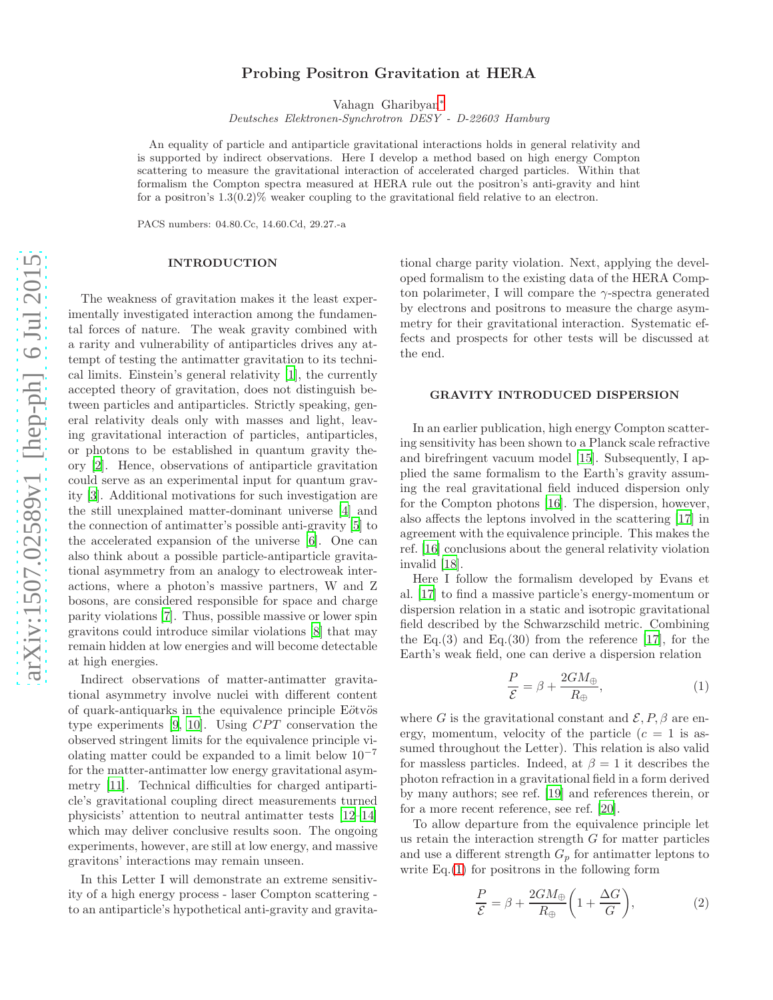# Probing Positron Gravitation at HERA

Vahagn Gharibyan [∗](#page-3-0)

Deutsches Elektronen-Synchrotron DESY - D-22603 Hamburg

An equality of particle and antiparticle gravitational interactions holds in general relativity and is supported by indirect observations. Here I develop a method based on high energy Compton scattering to measure the gravitational interaction of accelerated charged particles. Within that formalism the Compton spectra measured at HERA rule out the positron's anti-gravity and hint for a positron's  $1.3(0.2)\%$  weaker coupling to the gravitational field relative to an electron.

PACS numbers: 04.80.Cc, 14.60.Cd, 29.27.-a

# INTRODUCTION

The weakness of gravitation makes it the least experimentally investigated interaction among the fundamental forces of nature. The weak gravity combined with a rarity and vulnerability of antiparticles drives any attempt of testing the antimatter gravitation to its technical limits. Einstein's general relativity [\[1](#page-3-1)], the currently accepted theory of gravitation, does not distinguish between particles and antiparticles. Strictly speaking, general relativity deals only with masses and light, leaving gravitational interaction of particles, antiparticles, or photons to be established in quantum gravity theory [\[2](#page-3-2)]. Hence, observations of antiparticle gravitation could serve as an experimental input for quantum gravity [\[3\]](#page-3-3). Additional motivations for such investigation are the still unexplained matter-dominant universe [\[4\]](#page-3-4) and the connection of antimatter's possible anti-gravity [\[5\]](#page-3-5) to the accelerated expansion of the universe [\[6\]](#page-3-6). One can also think about a possible particle-antiparticle gravitational asymmetry from an analogy to electroweak interactions, where a photon's massive partners, W and Z bosons, are considered responsible for space and charge parity violations [\[7\]](#page-3-7). Thus, possible massive or lower spin gravitons could introduce similar violations [\[8](#page-3-8)] that may remain hidden at low energies and will become detectable at high energies.

Indirect observations of matter-antimatter gravitational asymmetry involve nuclei with different content of quark-antiquarks in the equivalence principle Eötvös type experiments  $[9, 10]$  $[9, 10]$ . Using CPT conservation the observed stringent limits for the equivalence principle violating matter could be expanded to a limit below  $10^{-7}$ for the matter-antimatter low energy gravitational asymmetry [\[11\]](#page-3-11). Technical difficulties for charged antiparticle's gravitational coupling direct measurements turned physicists' attention to neutral antimatter tests [\[12](#page-3-12)[–14\]](#page-3-13) which may deliver conclusive results soon. The ongoing experiments, however, are still at low energy, and massive gravitons' interactions may remain unseen.

In this Letter I will demonstrate an extreme sensitivity of a high energy process - laser Compton scattering to an antiparticle's hypothetical anti-gravity and gravita-

tional charge parity violation. Next, applying the developed formalism to the existing data of the HERA Compton polarimeter, I will compare the  $\gamma$ -spectra generated by electrons and positrons to measure the charge asymmetry for their gravitational interaction. Systematic effects and prospects for other tests will be discussed at the end.

# GRAVITY INTRODUCED DISPERSION

In an earlier publication, high energy Compton scattering sensitivity has been shown to a Planck scale refractive and birefringent vacuum model [\[15\]](#page-3-14). Subsequently, I applied the same formalism to the Earth's gravity assuming the real gravitational field induced dispersion only for the Compton photons [\[16\]](#page-3-15). The dispersion, however, also affects the leptons involved in the scattering [\[17\]](#page-3-16) in agreement with the equivalence principle. This makes the ref. [\[16\]](#page-3-15) conclusions about the general relativity violation invalid [\[18\]](#page-3-17).

Here I follow the formalism developed by Evans et al. [\[17\]](#page-3-16) to find a massive particle's energy-momentum or dispersion relation in a static and isotropic gravitational field described by the Schwarzschild metric. Combining the Eq.(3) and Eq.(30) from the reference [\[17\]](#page-3-16), for the Earth's weak field, one can derive a dispersion relation

<span id="page-0-0"></span>
$$
\frac{P}{\mathcal{E}} = \beta + \frac{2GM_{\oplus}}{R_{\oplus}},\tag{1}
$$

where G is the gravitational constant and  $\mathcal{E}, P, \beta$  are energy, momentum, velocity of the particle  $(c = 1$  is assumed throughout the Letter). This relation is also valid for massless particles. Indeed, at  $\beta = 1$  it describes the photon refraction in a gravitational field in a form derived by many authors; see ref. [\[19](#page-3-18)] and references therein, or for a more recent reference, see ref. [\[20\]](#page-3-19).

To allow departure from the equivalence principle let us retain the interaction strength G for matter particles and use a different strength  $G_p$  for antimatter leptons to write Eq.( [1\)](#page-0-0) for positrons in the following form

<span id="page-0-1"></span>
$$
\frac{P}{\mathcal{E}} = \beta + \frac{2GM_{\oplus}}{R_{\oplus}} \bigg(1 + \frac{\Delta G}{G}\bigg),\tag{2}
$$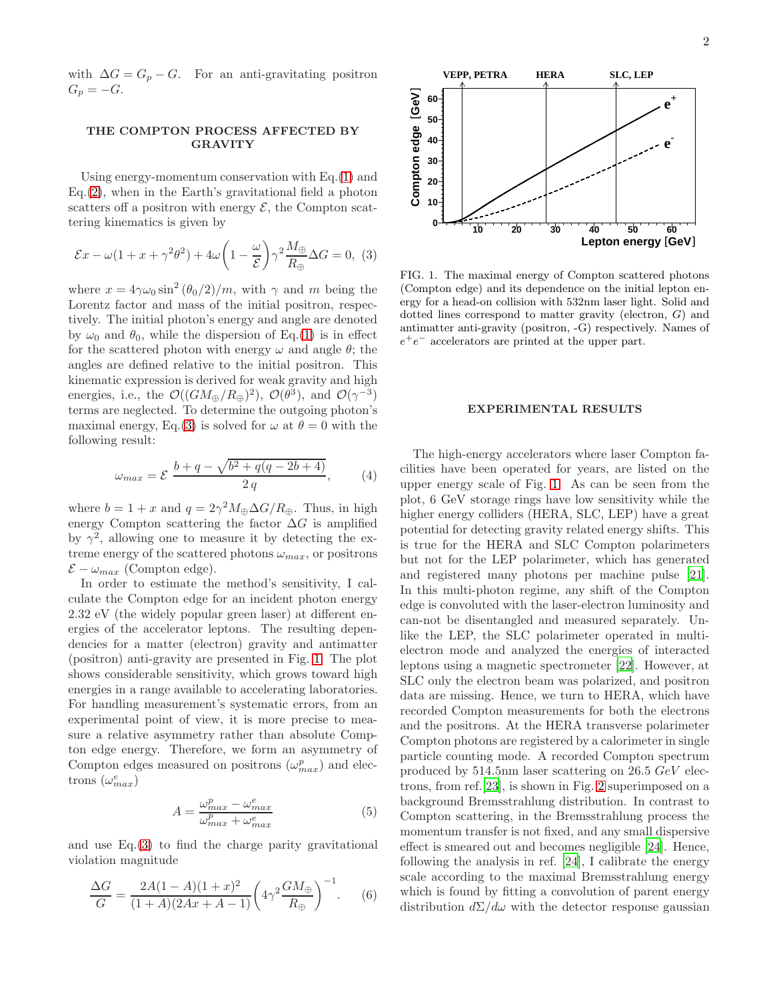with  $\Delta G = G_p - G$ . For an anti-gravitating positron  $G_p = -G$ .

# THE COMPTON PROCESS AFFECTED BY GRAVITY

Using energy-momentum conservation with Eq.[\(1\)](#page-0-0) and Eq.[\(2\)](#page-0-1), when in the Earth's gravitational field a photon scatters off a positron with energy  $\mathcal{E}$ , the Compton scattering kinematics is given by

<span id="page-1-0"></span>
$$
\mathcal{E}x - \omega(1 + x + \gamma^2 \theta^2) + 4\omega \left(1 - \frac{\omega}{\mathcal{E}}\right) \gamma^2 \frac{M_{\oplus}}{R_{\oplus}} \Delta G = 0, \tag{3}
$$

where  $x = 4\gamma\omega_0 \sin^2(\theta_0/2)/m$ , with  $\gamma$  and m being the Lorentz factor and mass of the initial positron, respectively. The initial photon's energy and angle are denoted by  $\omega_0$  and  $\theta_0$ , while the dispersion of Eq.[\(1\)](#page-0-0) is in effect for the scattered photon with energy  $\omega$  and angle  $\theta$ ; the angles are defined relative to the initial positron. This kinematic expression is derived for weak gravity and high energies, i.e., the  $\mathcal{O}((GM_{\oplus}/R_{\oplus})^2)$ ,  $\mathcal{O}(\theta^3)$ , and  $\mathcal{O}(\gamma^{-3})$ terms are neglected. To determine the outgoing photon's maximal energy, Eq.[\(3\)](#page-1-0) is solved for  $\omega$  at  $\theta = 0$  with the following result:

<span id="page-1-2"></span>
$$
\omega_{max} = \mathcal{E} \frac{b+q-\sqrt{b^2+q(q-2b+4)}}{2q},\qquad(4)
$$

where  $b = 1 + x$  and  $q = 2\gamma^2 M_{\oplus} \Delta G / R_{\oplus}$ . Thus, in high energy Compton scattering the factor  $\Delta G$  is amplified by  $\gamma^2$ , allowing one to measure it by detecting the extreme energy of the scattered photons  $\omega_{max}$ , or positrons  $\mathcal{E} - \omega_{max}$  (Compton edge).

In order to estimate the method's sensitivity, I calculate the Compton edge for an incident photon energy 2.32 eV (the widely popular green laser) at different energies of the accelerator leptons. The resulting dependencies for a matter (electron) gravity and antimatter (positron) anti-gravity are presented in Fig. [1.](#page-1-1) The plot shows considerable sensitivity, which grows toward high energies in a range available to accelerating laboratories. For handling measurement's systematic errors, from an experimental point of view, it is more precise to measure a relative asymmetry rather than absolute Compton edge energy. Therefore, we form an asymmetry of Compton edges measured on positrons  $(\omega_{max}^p)$  and electrons  $(\omega_{max}^e)$ 

<span id="page-1-3"></span>
$$
A = \frac{\omega_{max}^p - \omega_{max}^e}{\omega_{max}^p + \omega_{max}^e} \tag{5}
$$

and use Eq.[\(3\)](#page-1-0) to find the charge parity gravitational violation magnitude

<span id="page-1-4"></span>
$$
\frac{\Delta G}{G} = \frac{2A(1-A)(1+x)^2}{(1+A)(2Ax+A-1)} \left(4\gamma^2 \frac{GM_{\oplus}}{R_{\oplus}}\right)^{-1}.\tag{6}
$$



<span id="page-1-1"></span>FIG. 1. The maximal energy of Compton scattered photons (Compton edge) and its dependence on the initial lepton energy for a head-on collision with 532nm laser light. Solid and dotted lines correspond to matter gravity (electron, G) and antimatter anti-gravity (positron, -G) respectively. Names of  $e^+e^-$  accelerators are printed at the upper part.

#### EXPERIMENTAL RESULTS

The high-energy accelerators where laser Compton facilities have been operated for years, are listed on the upper energy scale of Fig. [1.](#page-1-1) As can be seen from the plot, 6 GeV storage rings have low sensitivity while the higher energy colliders (HERA, SLC, LEP) have a great potential for detecting gravity related energy shifts. This is true for the HERA and SLC Compton polarimeters but not for the LEP polarimeter, which has generated and registered many photons per machine pulse [\[21\]](#page-3-20). In this multi-photon regime, any shift of the Compton edge is convoluted with the laser-electron luminosity and can-not be disentangled and measured separately. Unlike the LEP, the SLC polarimeter operated in multielectron mode and analyzed the energies of interacted leptons using a magnetic spectrometer [\[22\]](#page-3-21). However, at SLC only the electron beam was polarized, and positron data are missing. Hence, we turn to HERA, which have recorded Compton measurements for both the electrons and the positrons. At the HERA transverse polarimeter Compton photons are registered by a calorimeter in single particle counting mode. A recorded Compton spectrum produced by 514.5nm laser scattering on 26.5 GeV electrons, from ref.[\[23\]](#page-3-22), is shown in Fig. [2](#page-2-0) superimposed on a background Bremsstrahlung distribution. In contrast to Compton scattering, in the Bremsstrahlung process the momentum transfer is not fixed, and any small dispersive effect is smeared out and becomes negligible [\[24](#page-3-23)]. Hence, following the analysis in ref. [\[24\]](#page-3-23), I calibrate the energy scale according to the maximal Bremsstrahlung energy which is found by fitting a convolution of parent energy distribution  $d\Sigma/d\omega$  with the detector response gaussian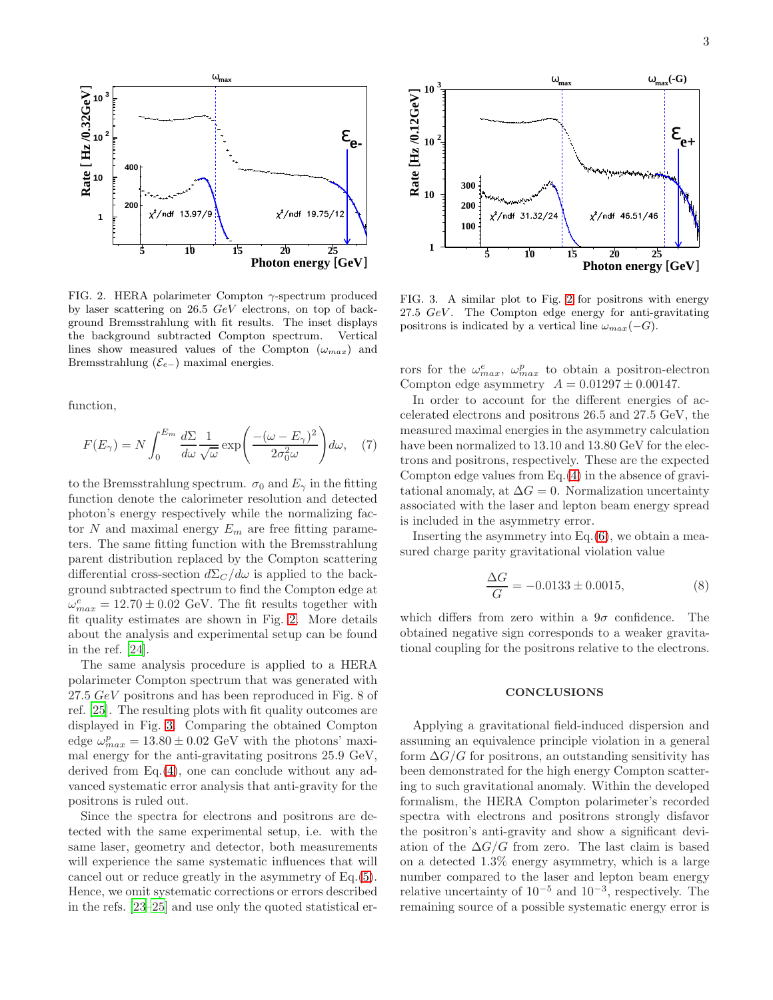

<span id="page-2-0"></span>FIG. 2. HERA polarimeter Compton  $\gamma$ -spectrum produced by laser scattering on 26.5 GeV electrons, on top of background Bremsstrahlung with fit results. The inset displays the background subtracted Compton spectrum. Vertical lines show measured values of the Compton  $(\omega_{max})$  and Bremsstrahlung ( $\mathcal{E}_{e-}$ ) maximal energies.

function,

$$
F(E_{\gamma}) = N \int_0^{E_m} \frac{d\Sigma}{d\omega} \frac{1}{\sqrt{\omega}} \exp\left(\frac{-(\omega - E_{\gamma})^2}{2\sigma_0^2 \omega}\right) d\omega, \quad (7)
$$

to the Bremsstrahlung spectrum.  $\sigma_0$  and  $E_\gamma$  in the fitting function denote the calorimeter resolution and detected photon's energy respectively while the normalizing factor  $N$  and maximal energy  $E_m$  are free fitting parameters. The same fitting function with the Bremsstrahlung parent distribution replaced by the Compton scattering differential cross-section  $d\Sigma_c/d\omega$  is applied to the background subtracted spectrum to find the Compton edge at  $\omega_{max}^e = 12.70 \pm 0.02$  GeV. The fit results together with fit quality estimates are shown in Fig. [2.](#page-2-0) More details about the analysis and experimental setup can be found in the ref. [\[24\]](#page-3-23).

The same analysis procedure is applied to a HERA polarimeter Compton spectrum that was generated with 27.5 GeV positrons and has been reproduced in Fig. 8 of ref. [\[25\]](#page-3-24). The resulting plots with fit quality outcomes are displayed in Fig. [3.](#page-2-1) Comparing the obtained Compton edge  $\omega_{max}^p = 13.80 \pm 0.02$  GeV with the photons' maximal energy for the anti-gravitating positrons 25.9 GeV, derived from Eq.[\(4\)](#page-1-2), one can conclude without any advanced systematic error analysis that anti-gravity for the positrons is ruled out.

Since the spectra for electrons and positrons are detected with the same experimental setup, i.e. with the same laser, geometry and detector, both measurements will experience the same systematic influences that will cancel out or reduce greatly in the asymmetry of Eq.[\(5\)](#page-1-3). Hence, we omit systematic corrections or errors described in the refs. [\[23](#page-3-22)[–25\]](#page-3-24) and use only the quoted statistical er-



<span id="page-2-1"></span>FIG. 3. A similar plot to Fig. [2](#page-2-0) for positrons with energy 27.5  $GeV$ . The Compton edge energy for anti-gravitating positrons is indicated by a vertical line  $\omega_{max}(-G)$ .

rors for the  $\omega_{max}^e$ ,  $\omega_{max}^p$  to obtain a positron-electron Compton edge asymmetry  $A = 0.01297 \pm 0.00147$ .

In order to account for the different energies of accelerated electrons and positrons 26.5 and 27.5 GeV, the measured maximal energies in the asymmetry calculation have been normalized to 13.10 and 13.80 GeV for the electrons and positrons, respectively. These are the expected Compton edge values from Eq.[\(4\)](#page-1-2) in the absence of gravitational anomaly, at  $\Delta G = 0$ . Normalization uncertainty associated with the laser and lepton beam energy spread is included in the asymmetry error.

Inserting the asymmetry into  $Eq.(6)$  $Eq.(6)$ , we obtain a measured charge parity gravitational violation value

$$
\frac{\Delta G}{G} = -0.0133 \pm 0.0015, \tag{8}
$$

which differs from zero within a  $9\sigma$  confidence. The obtained negative sign corresponds to a weaker gravitational coupling for the positrons relative to the electrons.

# **CONCLUSIONS**

Applying a gravitational field-induced dispersion and assuming an equivalence principle violation in a general form  $\Delta G/G$  for positrons, an outstanding sensitivity has been demonstrated for the high energy Compton scattering to such gravitational anomaly. Within the developed formalism, the HERA Compton polarimeter's recorded spectra with electrons and positrons strongly disfavor the positron's anti-gravity and show a significant deviation of the  $\Delta G/G$  from zero. The last claim is based on a detected 1.3% energy asymmetry, which is a large number compared to the laser and lepton beam energy relative uncertainty of  $10^{-5}$  and  $10^{-3}$ , respectively. The remaining source of a possible systematic energy error is